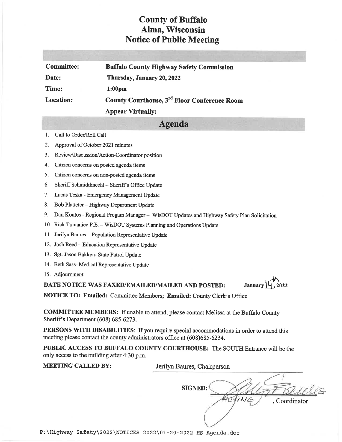## **County of Buffalo** Alma, Wisconsin **Notice of Public Meeting**

| <b>Committee:</b> | <b>Buffalo County Highway Safety Commission</b>          |
|-------------------|----------------------------------------------------------|
| Date:             | Thursday, January 20, 2022                               |
| Time:             | 1:00 <sub>pm</sub>                                       |
| <b>Location:</b>  | County Courthouse, 3 <sup>rd</sup> Floor Conference Room |
|                   | <b>Appear Virtually:</b>                                 |

## **Agenda**

- Call to Order/Roll Call 1.
- $2.$ Approval of October 2021 minutes
- 3. Review/Discussion/Action-Coordinator position
- 4. Citizen concerns on posted agenda items
- 5. Citizen concerns on non-posted agenda items
- 6. Sheriff Schmidtknecht - Sheriff's Office Update
- 7. Lucas Teska Emergency Management Update
- 8. Bob Platteter Highway Department Update
- 9. Dan Kontos Regional Progam Manager WisDOT Updates and Highway Safety Plan Solicitation
- 10. Rick Tumaniec P.E. WisDOT Systems Planning and Operations Update
- 11. Jerilyn Baures Population Representative Update
- 12. Josh Reed Education Representative Update
- 13. Sgt. Jason Bakken- State Patrol Update
- 14. Beth Sass-Medical Representative Update
- 15. Adjournment

DATE NOTICE WAS FAXED/EMAILED/MAILED AND POSTED:

NOTICE TO: Emailed: Committee Members; Emailed: County Clerk's Office

**COMMITTEE MEMBERS:** If unable to attend, please contact Melissa at the Buffalo County Sheriff's Department (608) 685-6273.

**PERSONS WITH DISABILITIES:** If you require special accommodations in order to attend this meeting please contact the county administrators office at (608)685-6234.

PUBLIC ACCESS TO BUFFALO COUNTY COURTHOUSE: The SOUTH Entrance will be the only access to the building after 4:30 p.m.

| <b>MEETING CALLED BY:</b> | Jerilyn Baures, Chairperson   |
|---------------------------|-------------------------------|
|                           | <b>SIGNED:</b><br>Coordinator |

January  $\mathcal{U}$ , 2022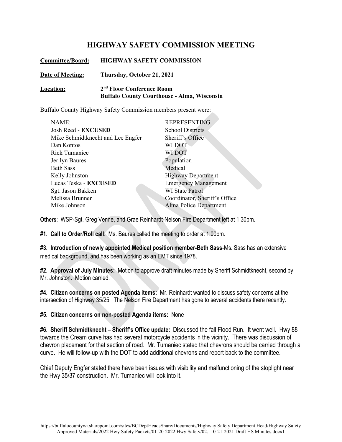## **HIGHWAY SAFETY COMMISSION MEETING**

| <b>Committee/Board:</b> | <b>HIGHWAY SAFETY COMMISSION</b>                                                            |
|-------------------------|---------------------------------------------------------------------------------------------|
| Date of Meeting:        | Thursday, October 21, 2021                                                                  |
| Location:               | 2 <sup>nd</sup> Floor Conference Room<br><b>Buffalo County Courthouse - Alma, Wisconsin</b> |

Buffalo County Highway Safety Commission members present were:

| NAME:                             | <b>REPRESENTING</b>           |
|-----------------------------------|-------------------------------|
| Josh Reed - EXCUSED               | <b>School Districts</b>       |
| Mike Schmidtknecht and Lee Engfer | Sheriff's Office              |
| Dan Kontos                        | WI DOT                        |
| <b>Rick Tumaniec</b>              | WI DOT                        |
| Jerilyn Baures                    | Population                    |
| <b>Beth Sass</b>                  | Medical                       |
| Kelly Johnston                    | <b>Highway Department</b>     |
| Lucas Teska - EXCUSED             | <b>Emergency Management</b>   |
| Sgt. Jason Bakken                 | <b>WI</b> State Patrol        |
| Melissa Brunner                   | Coordinator, Sheriff's Office |
| Mike Johnson                      | Alma Police Department        |
|                                   |                               |

**Others**: WSP-Sgt. Greg Venne, and Grae Reinhardt-Nelson Fire Department left at 1:30pm.

**#1. Call to Order/Roll call**: Ms. Baures called the meeting to order at 1:00pm.

**#3. Introduction of newly appointed Medical position member-Beth Sass**-Ms. Sass has an extensive medical background, and has been working as an EMT since 1978.

**#2. Approval of July Minutes:** Motion to approve draft minutes made by Sheriff Schmidtknecht, second by Mr. Johnston. Motion carried.

**#4. Citizen concerns on posted Agenda items:** Mr. Reinhardt wanted to discuss safety concerns at the intersection of Highway 35/25. The Nelson Fire Department has gone to several accidents there recently.

**#5. Citizen concerns on non-posted Agenda items:** None

**#6. Sheriff Schmidtknecht – Sheriff's Office update:** Discussed the fall Flood Run. It went well. Hwy 88 towards the Cream curve has had several motorcycle accidents in the vicinity. There was discussion of chevron placement for that section of road. Mr. Tumaniec stated that chevrons should be carried through a curve. He will follow-up with the DOT to add additional chevrons and report back to the committee.

Chief Deputy Engfer stated there have been issues with visibility and malfunctioning of the stoplight near the Hwy 35/37 construction. Mr. Tumaniec will look into it.